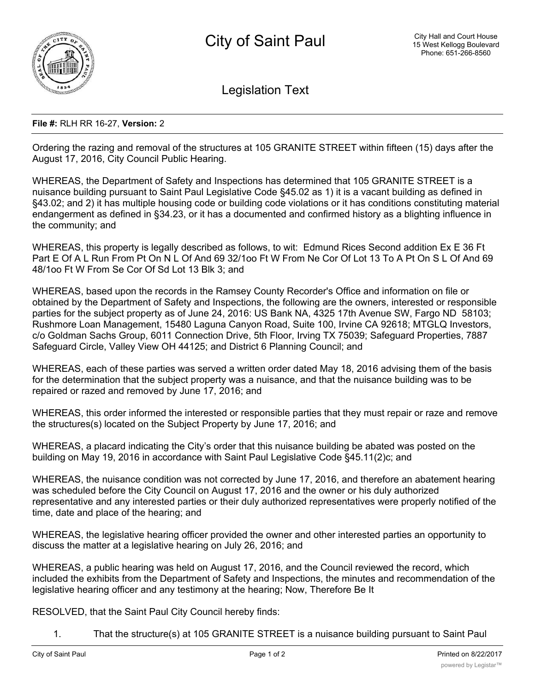

Legislation Text

## **File #:** RLH RR 16-27, **Version:** 2

Ordering the razing and removal of the structures at 105 GRANITE STREET within fifteen (15) days after the August 17, 2016, City Council Public Hearing.

WHEREAS, the Department of Safety and Inspections has determined that 105 GRANITE STREET is a nuisance building pursuant to Saint Paul Legislative Code §45.02 as 1) it is a vacant building as defined in §43.02; and 2) it has multiple housing code or building code violations or it has conditions constituting material endangerment as defined in §34.23, or it has a documented and confirmed history as a blighting influence in the community; and

WHEREAS, this property is legally described as follows, to wit: Edmund Rices Second addition Ex E 36 Ft Part E Of A L Run From Pt On N L Of And 69 32/1oo Ft W From Ne Cor Of Lot 13 To A Pt On S L Of And 69 48/1oo Ft W From Se Cor Of Sd Lot 13 Blk 3; and

WHEREAS, based upon the records in the Ramsey County Recorder's Office and information on file or obtained by the Department of Safety and Inspections, the following are the owners, interested or responsible parties for the subject property as of June 24, 2016: US Bank NA, 4325 17th Avenue SW, Fargo ND 58103; Rushmore Loan Management, 15480 Laguna Canyon Road, Suite 100, Irvine CA 92618; MTGLQ Investors, c/o Goldman Sachs Group, 6011 Connection Drive, 5th Floor, Irving TX 75039; Safeguard Properties, 7887 Safeguard Circle, Valley View OH 44125; and District 6 Planning Council; and

WHEREAS, each of these parties was served a written order dated May 18, 2016 advising them of the basis for the determination that the subject property was a nuisance, and that the nuisance building was to be repaired or razed and removed by June 17, 2016; and

WHEREAS, this order informed the interested or responsible parties that they must repair or raze and remove the structures(s) located on the Subject Property by June 17, 2016; and

WHEREAS, a placard indicating the City's order that this nuisance building be abated was posted on the building on May 19, 2016 in accordance with Saint Paul Legislative Code §45.11(2)c; and

WHEREAS, the nuisance condition was not corrected by June 17, 2016, and therefore an abatement hearing was scheduled before the City Council on August 17, 2016 and the owner or his duly authorized representative and any interested parties or their duly authorized representatives were properly notified of the time, date and place of the hearing; and

WHEREAS, the legislative hearing officer provided the owner and other interested parties an opportunity to discuss the matter at a legislative hearing on July 26, 2016; and

WHEREAS, a public hearing was held on August 17, 2016, and the Council reviewed the record, which included the exhibits from the Department of Safety and Inspections, the minutes and recommendation of the legislative hearing officer and any testimony at the hearing; Now, Therefore Be It

RESOLVED, that the Saint Paul City Council hereby finds:

1. That the structure(s) at 105 GRANITE STREET is a nuisance building pursuant to Saint Paul